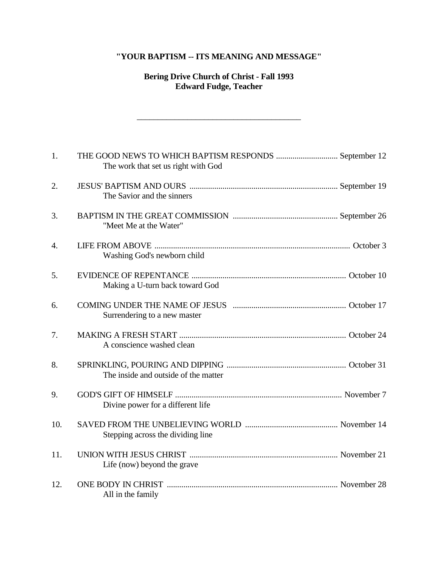# **"YOUR BAPTISM -- ITS MEANING AND MESSAGE"**

# **Bering Drive Church of Christ - Fall 1993 Edward Fudge, Teacher**

\_\_\_\_\_\_\_\_\_\_\_\_\_\_\_\_\_\_\_\_\_\_\_\_\_\_\_\_\_\_\_\_\_\_\_\_\_\_\_

| 1.  | THE GOOD NEWS TO WHICH BAPTISM RESPONDS  September 12<br>The work that set us right with God |  |
|-----|----------------------------------------------------------------------------------------------|--|
| 2.  | The Savior and the sinners                                                                   |  |
| 3.  | "Meet Me at the Water"                                                                       |  |
| 4.  | Washing God's newborn child                                                                  |  |
| 5.  | Making a U-turn back toward God                                                              |  |
| 6.  | Surrendering to a new master                                                                 |  |
| 7.  | A conscience washed clean                                                                    |  |
| 8.  | The inside and outside of the matter                                                         |  |
| 9.  | Divine power for a different life                                                            |  |
| 10. | Stepping across the dividing line                                                            |  |
| 11. | Life (now) beyond the grave                                                                  |  |
| 12. | All in the family                                                                            |  |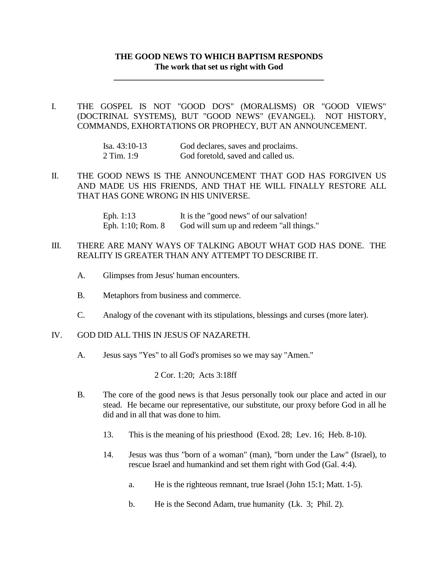# **THE GOOD NEWS TO WHICH BAPTISM RESPONDS The work that set us right with God**

**\_\_\_\_\_\_\_\_\_\_\_\_\_\_\_\_\_\_\_\_\_\_\_\_\_\_\_\_\_\_\_\_\_\_\_\_\_\_\_\_\_\_\_\_\_\_\_\_\_\_**

I. THE GOSPEL IS NOT "GOOD DO'S" (MORALISMS) OR "GOOD VIEWS" (DOCTRINAL SYSTEMS), BUT "GOOD NEWS" (EVANGEL). NOT HISTORY, COMMANDS, EXHORTATIONS OR PROPHECY, BUT AN ANNOUNCEMENT.

| Isa. $43:10-13$ | God declares, saves and proclaims. |
|-----------------|------------------------------------|
| 2 Tim. 1:9      | God foretold, saved and called us. |

II. THE GOOD NEWS IS THE ANNOUNCEMENT THAT GOD HAS FORGIVEN US AND MADE US HIS FRIENDS, AND THAT HE WILL FINALLY RESTORE ALL THAT HAS GONE WRONG IN HIS UNIVERSE.

> Eph. 1:13 It is the "good news" of our salvation! Eph. 1:10; Rom. 8 God will sum up and redeem "all things."

# III. THERE ARE MANY WAYS OF TALKING ABOUT WHAT GOD HAS DONE. THE REALITY IS GREATER THAN ANY ATTEMPT TO DESCRIBE IT.

- A. Glimpses from Jesus' human encounters.
- B. Metaphors from business and commerce.
- C. Analogy of the covenant with its stipulations, blessings and curses (more later).

## IV. GOD DID ALL THIS IN JESUS OF NAZARETH.

A. Jesus says "Yes" to all God's promises so we may say "Amen."

2 Cor. 1:20; Acts 3:18ff

- B. The core of the good news is that Jesus personally took our place and acted in our stead. He became our representative, our substitute, our proxy before God in all he did and in all that was done to him.
	- 13. This is the meaning of his priesthood (Exod. 28; Lev. 16; Heb. 8-10).
	- 14. Jesus was thus "born of a woman" (man), "born under the Law" (Israel), to rescue Israel and humankind and set them right with God (Gal. 4:4).
		- a. He is the righteous remnant, true Israel (John 15:1; Matt. 1-5).
		- b. He is the Second Adam, true humanity (Lk. 3; Phil. 2).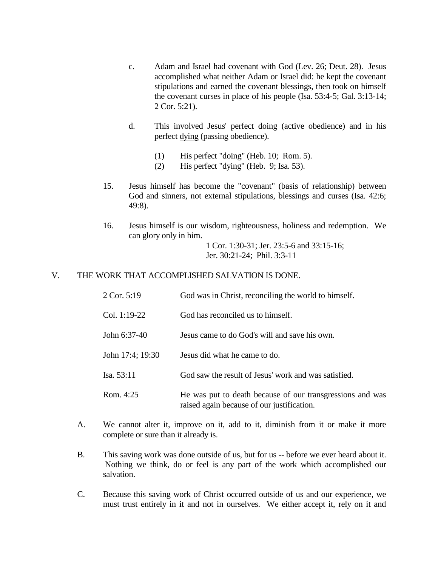- c. Adam and Israel had covenant with God (Lev. 26; Deut. 28). Jesus accomplished what neither Adam or Israel did: he kept the covenant stipulations and earned the covenant blessings, then took on himself the covenant curses in place of his people (Isa. 53:4-5; Gal. 3:13-14; 2 Cor. 5:21).
- d. This involved Jesus' perfect doing (active obedience) and in his perfect dying (passing obedience).
	- (1) His perfect "doing" (Heb. 10; Rom. 5).
	- (2) His perfect "dying" (Heb. 9; Isa. 53).
- 15. Jesus himself has become the "covenant" (basis of relationship) between God and sinners, not external stipulations, blessings and curses (Isa. 42:6; 49:8).
- 16. Jesus himself is our wisdom, righteousness, holiness and redemption. We can glory only in him.

1 Cor. 1:30-31; Jer. 23:5-6 and 33:15-16; Jer. 30:21-24; Phil. 3:3-11

#### V. THE WORK THAT ACCOMPLISHED SALVATION IS DONE.

- 2 Cor. 5:19 God was in Christ, reconciling the world to himself.
- Col. 1:19-22 God has reconciled us to himself.
- John 6:37-40 Jesus came to do God's will and save his own.
- John 17:4; 19:30 Jesus did what he came to do.
- Isa. 53:11 God saw the result of Jesus' work and was satisfied.
- Rom. 4:25 He was put to death because of our transgressions and was raised again because of our justification.
- A. We cannot alter it, improve on it, add to it, diminish from it or make it more complete or sure than it already is.
- B. This saving work was done outside of us, but for us -- before we ever heard about it. Nothing we think, do or feel is any part of the work which accomplished our salvation.
- C. Because this saving work of Christ occurred outside of us and our experience, we must trust entirely in it and not in ourselves. We either accept it, rely on it and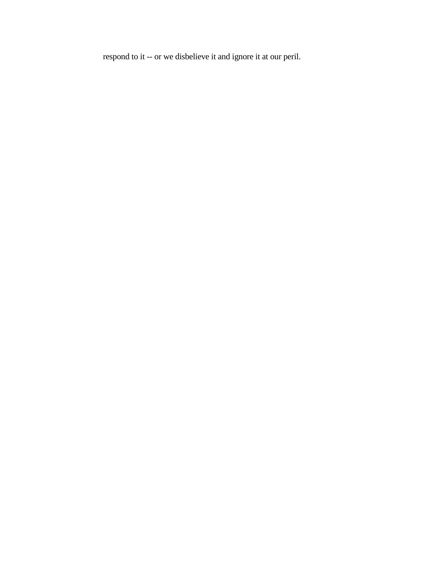respond to it -- or we disbelieve it and ignore it at our peril.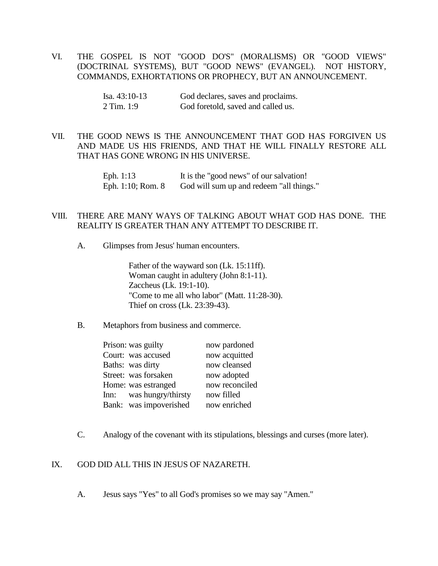VI. THE GOSPEL IS NOT "GOOD DO'S" (MORALISMS) OR "GOOD VIEWS" (DOCTRINAL SYSTEMS), BUT "GOOD NEWS" (EVANGEL). NOT HISTORY, COMMANDS, EXHORTATIONS OR PROPHECY, BUT AN ANNOUNCEMENT.

| Isa. $43:10-13$ | God declares, saves and proclaims. |
|-----------------|------------------------------------|
| 2 Tim. 1:9      | God foretold, saved and called us. |

## VII. THE GOOD NEWS IS THE ANNOUNCEMENT THAT GOD HAS FORGIVEN US AND MADE US HIS FRIENDS, AND THAT HE WILL FINALLY RESTORE ALL THAT HAS GONE WRONG IN HIS UNIVERSE.

Eph. 1:13 It is the "good news" of our salvation! Eph. 1:10; Rom. 8 God will sum up and redeem "all things."

#### VIII. THERE ARE MANY WAYS OF TALKING ABOUT WHAT GOD HAS DONE. THE REALITY IS GREATER THAN ANY ATTEMPT TO DESCRIBE IT.

A. Glimpses from Jesus' human encounters.

Father of the wayward son (Lk. 15:11ff). Woman caught in adultery (John 8:1-11). Zaccheus (Lk. 19:1-10). "Come to me all who labor" (Matt. 11:28-30). Thief on cross (Lk. 23:39-43).

B. Metaphors from business and commerce.

| Prison: was guilty      | now pardoned   |
|-------------------------|----------------|
| Court: was accused      | now acquitted  |
| Baths: was dirty        | now cleansed   |
| Street: was forsaken    | now adopted    |
| Home: was estranged     | now reconciled |
| Inn: was hungry/thirsty | now filled     |
| Bank: was impoverished  | now enriched   |

C. Analogy of the covenant with its stipulations, blessings and curses (more later).

# IX. GOD DID ALL THIS IN JESUS OF NAZARETH.

A. Jesus says "Yes" to all God's promises so we may say "Amen."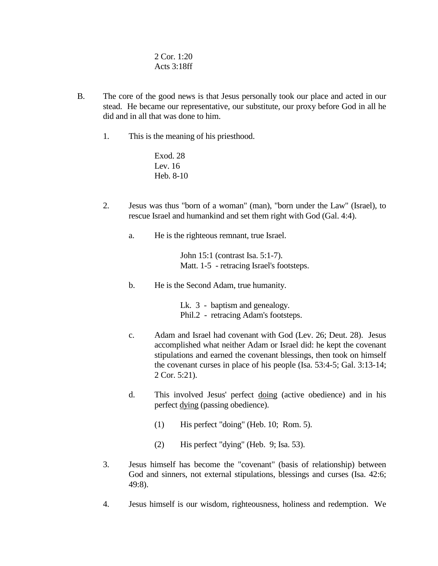2 Cor. 1:20 Acts 3:18ff

- B. The core of the good news is that Jesus personally took our place and acted in our stead. He became our representative, our substitute, our proxy before God in all he did and in all that was done to him.
	- 1. This is the meaning of his priesthood.

Exod. 28 Lev. 16 Heb. 8-10

- 2. Jesus was thus "born of a woman" (man), "born under the Law" (Israel), to rescue Israel and humankind and set them right with God (Gal. 4:4).
	- a. He is the righteous remnant, true Israel.

John 15:1 (contrast Isa. 5:1-7). Matt. 1-5 - retracing Israel's footsteps.

b. He is the Second Adam, true humanity.

Lk. 3 - baptism and genealogy. Phil.2 - retracing Adam's footsteps.

- c. Adam and Israel had covenant with God (Lev. 26; Deut. 28). Jesus accomplished what neither Adam or Israel did: he kept the covenant stipulations and earned the covenant blessings, then took on himself the covenant curses in place of his people (Isa. 53:4-5; Gal. 3:13-14; 2 Cor. 5:21).
- d. This involved Jesus' perfect doing (active obedience) and in his perfect dying (passing obedience).
	- (1) His perfect "doing" (Heb. 10; Rom. 5).
	- (2) His perfect "dying" (Heb. 9; Isa. 53).
- 3. Jesus himself has become the "covenant" (basis of relationship) between God and sinners, not external stipulations, blessings and curses (Isa. 42:6; 49:8).
- 4. Jesus himself is our wisdom, righteousness, holiness and redemption. We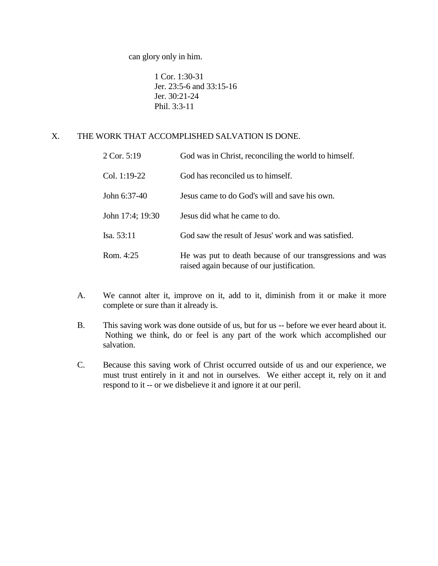can glory only in him.

1 Cor. 1:30-31 Jer. 23:5-6 and 33:15-16 Jer. 30:21-24 Phil. 3:3-11

# X. THE WORK THAT ACCOMPLISHED SALVATION IS DONE.

| 2 Cor. 5:19      | God was in Christ, reconciling the world to himself.                                                    |
|------------------|---------------------------------------------------------------------------------------------------------|
| Col. 1:19-22     | God has reconciled us to himself.                                                                       |
| John 6:37-40     | Jesus came to do God's will and save his own.                                                           |
| John 17:4; 19:30 | Jesus did what he came to do.                                                                           |
| Isa. 53:11       | God saw the result of Jesus' work and was satisfied.                                                    |
| Rom. $4:25$      | He was put to death because of our transgressions and was<br>raised again because of our justification. |

- A. We cannot alter it, improve on it, add to it, diminish from it or make it more complete or sure than it already is.
- B. This saving work was done outside of us, but for us -- before we ever heard about it. Nothing we think, do or feel is any part of the work which accomplished our salvation.
- C. Because this saving work of Christ occurred outside of us and our experience, we must trust entirely in it and not in ourselves. We either accept it, rely on it and respond to it -- or we disbelieve it and ignore it at our peril.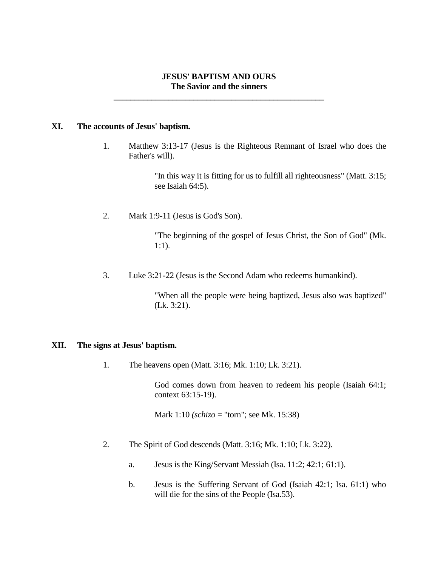## **JESUS' BAPTISM AND OURS The Savior and the sinners**

**\_\_\_\_\_\_\_\_\_\_\_\_\_\_\_\_\_\_\_\_\_\_\_\_\_\_\_\_\_\_\_\_\_\_\_\_\_\_\_\_\_\_\_\_\_\_\_\_\_\_**

#### **XI. The accounts of Jesus' baptism.**

1. Matthew 3:13-17 (Jesus is the Righteous Remnant of Israel who does the Father's will).

> "In this way it is fitting for us to fulfill all righteousness" (Matt. 3:15; see Isaiah 64:5).

2. Mark 1:9-11 (Jesus is God's Son).

"The beginning of the gospel of Jesus Christ, the Son of God" (Mk. 1:1).

3. Luke 3:21-22 (Jesus is the Second Adam who redeems humankind).

"When all the people were being baptized, Jesus also was baptized" (Lk. 3:21).

## **XII. The signs at Jesus' baptism.**

1. The heavens open (Matt. 3:16; Mk. 1:10; Lk. 3:21).

God comes down from heaven to redeem his people (Isaiah 64:1; context 63:15-19).

Mark 1:10 *(schizo* = "torn"; see Mk. 15:38)

- 2. The Spirit of God descends (Matt. 3:16; Mk. 1:10; Lk. 3:22).
	- a. Jesus is the King/Servant Messiah (Isa. 11:2; 42:1; 61:1).
	- b. Jesus is the Suffering Servant of God (Isaiah 42:1; Isa. 61:1) who will die for the sins of the People (Isa.53).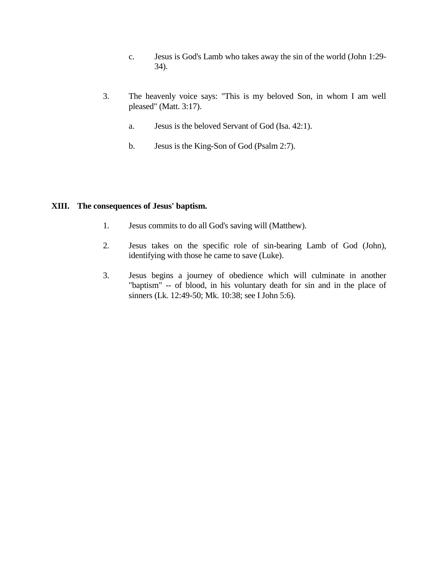- c. Jesus is God's Lamb who takes away the sin of the world (John 1:29- 34).
- 3. The heavenly voice says: "This is my beloved Son, in whom I am well pleased" (Matt. 3:17).
	- a. Jesus is the beloved Servant of God (Isa. 42:1).
	- b. Jesus is the King-Son of God (Psalm 2:7).

#### **XIII. The consequences of Jesus' baptism.**

- 1. Jesus commits to do all God's saving will (Matthew).
- 2. Jesus takes on the specific role of sin-bearing Lamb of God (John), identifying with those he came to save (Luke).
- 3. Jesus begins a journey of obedience which will culminate in another "baptism" -- of blood, in his voluntary death for sin and in the place of sinners (Lk. 12:49-50; Mk. 10:38; see I John 5:6).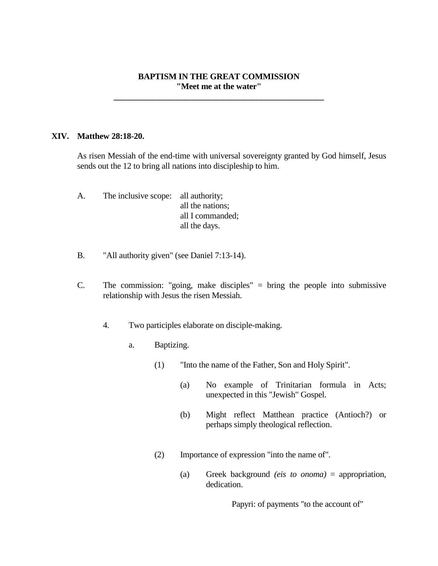## **BAPTISM IN THE GREAT COMMISSION "Meet me at the water"**

**\_\_\_\_\_\_\_\_\_\_\_\_\_\_\_\_\_\_\_\_\_\_\_\_\_\_\_\_\_\_\_\_\_\_\_\_\_\_\_\_\_\_\_\_\_\_\_\_\_\_**

#### **XIV. Matthew 28:18-20.**

As risen Messiah of the end-time with universal sovereignty granted by God himself, Jesus sends out the 12 to bring all nations into discipleship to him.

- A. The inclusive scope: all authority; all the nations; all I commanded; all the days.
- B. "All authority given" (see Daniel 7:13-14).
- C. The commission: "going, make disciples" = bring the people into submissive relationship with Jesus the risen Messiah.
	- 4. Two participles elaborate on disciple-making.
		- a. Baptizing.
			- (1) "Into the name of the Father, Son and Holy Spirit".
				- (a) No example of Trinitarian formula in Acts; unexpected in this "Jewish" Gospel.
				- (b) Might reflect Matthean practice (Antioch?) or perhaps simply theological reflection.
			- (2) Importance of expression "into the name of".
				- (a) Greek background *(eis to onoma)* = appropriation, dedication.

Papyri: of payments "to the account of"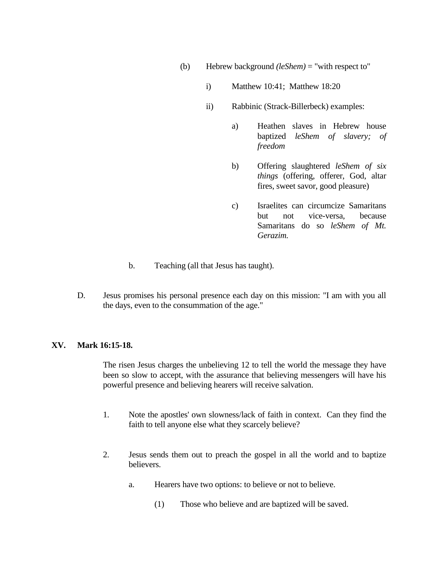- (b) Hebrew background *(leShem)* = "with respect to"
	- i) Matthew 10:41; Matthew 18:20
	- ii) Rabbinic (Strack-Billerbeck) examples:
		- a) Heathen slaves in Hebrew house baptized *leShem of slavery; of freedom*
		- b) Offering slaughtered *leShem of six things* (offering, offerer, God, altar fires, sweet savor, good pleasure)
		- c) Israelites can circumcize Samaritans but not vice-versa, because Samaritans do so *leShem of Mt. Gerazim.*
- b. Teaching (all that Jesus has taught).
- D. Jesus promises his personal presence each day on this mission: "I am with you all the days, even to the consummation of the age."

## **XV. Mark 16:15-18.**

The risen Jesus charges the unbelieving 12 to tell the world the message they have been so slow to accept, with the assurance that believing messengers will have his powerful presence and believing hearers will receive salvation.

- 1. Note the apostles' own slowness/lack of faith in context. Can they find the faith to tell anyone else what they scarcely believe?
- 2. Jesus sends them out to preach the gospel in all the world and to baptize believers.
	- a. Hearers have two options: to believe or not to believe.
		- (1) Those who believe and are baptized will be saved.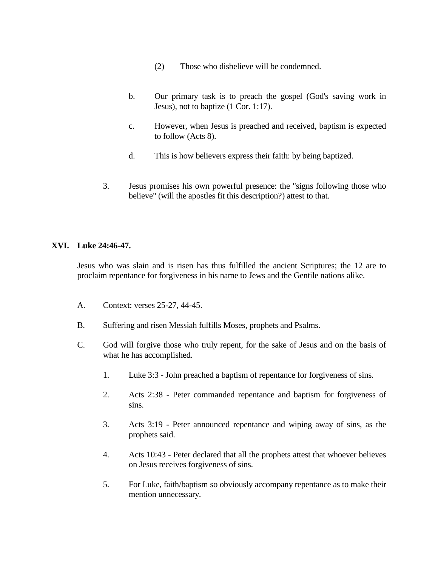- (2) Those who disbelieve will be condemned.
- b. Our primary task is to preach the gospel (God's saving work in Jesus), not to baptize (1 Cor. 1:17).
- c. However, when Jesus is preached and received, baptism is expected to follow (Acts 8).
- d. This is how believers express their faith: by being baptized.
- 3. Jesus promises his own powerful presence: the "signs following those who believe" (will the apostles fit this description?) attest to that.

# **XVI. Luke 24:46-47.**

Jesus who was slain and is risen has thus fulfilled the ancient Scriptures; the 12 are to proclaim repentance for forgiveness in his name to Jews and the Gentile nations alike.

- A. Context: verses 25-27, 44-45.
- B. Suffering and risen Messiah fulfills Moses, prophets and Psalms.
- C. God will forgive those who truly repent, for the sake of Jesus and on the basis of what he has accomplished.
	- 1. Luke 3:3 John preached a baptism of repentance for forgiveness of sins.
	- 2. Acts 2:38 Peter commanded repentance and baptism for forgiveness of sins.
	- 3. Acts 3:19 Peter announced repentance and wiping away of sins, as the prophets said.
	- 4. Acts 10:43 Peter declared that all the prophets attest that whoever believes on Jesus receives forgiveness of sins.
	- 5. For Luke, faith/baptism so obviously accompany repentance as to make their mention unnecessary.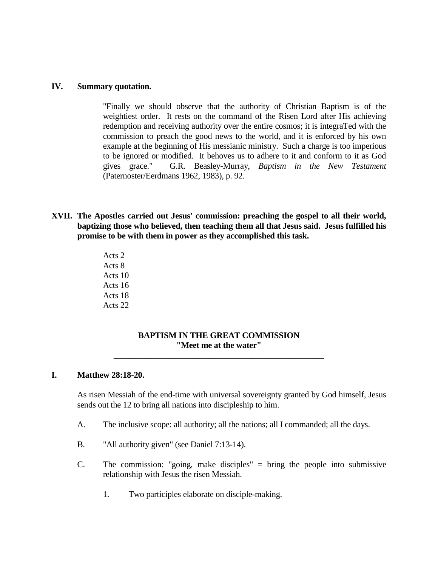#### **IV. Summary quotation.**

"Finally we should observe that the authority of Christian Baptism is of the weightiest order. It rests on the command of the Risen Lord after His achieving redemption and receiving authority over the entire cosmos; it is integraTed with the commission to preach the good news to the world, and it is enforced by his own example at the beginning of His messianic ministry. Such a charge is too imperious to be ignored or modified. It behoves us to adhere to it and conform to it as God gives grace." G.R. Beasley-Murray, *Baptism in the New Testament* (Paternoster/Eerdmans 1962, 1983), p. 92.

- **XVII. The Apostles carried out Jesus' commission: preaching the gospel to all their world, baptizing those who believed, then teaching them all that Jesus said. Jesus fulfilled his promise to be with them in power as they accomplished this task.**
	- Acts 2 Acts 8 Acts 10 Acts 16 Acts 18 Acts 22

## **BAPTISM IN THE GREAT COMMISSION "Meet me at the water"**

**\_\_\_\_\_\_\_\_\_\_\_\_\_\_\_\_\_\_\_\_\_\_\_\_\_\_\_\_\_\_\_\_\_\_\_\_\_\_\_\_\_\_\_\_\_\_\_\_\_\_**

#### **I. Matthew 28:18-20.**

As risen Messiah of the end-time with universal sovereignty granted by God himself, Jesus sends out the 12 to bring all nations into discipleship to him.

- A. The inclusive scope: all authority; all the nations; all I commanded; all the days.
- B. "All authority given" (see Daniel 7:13-14).
- C. The commission: "going, make disciples" = bring the people into submissive relationship with Jesus the risen Messiah.
	- 1. Two participles elaborate on disciple-making.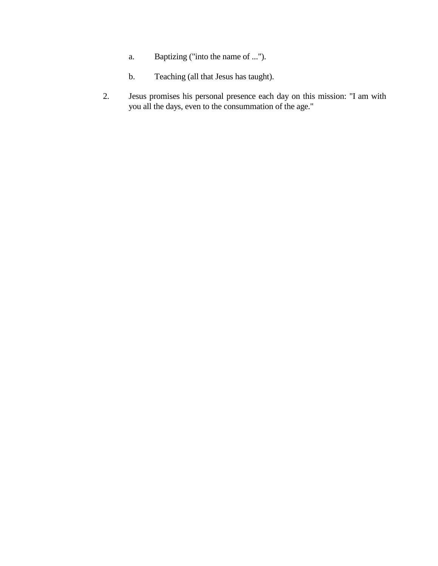- a. Baptizing ("into the name of ...").
- b. Teaching (all that Jesus has taught).
- 2. Jesus promises his personal presence each day on this mission: "I am with you all the days, even to the consummation of the age."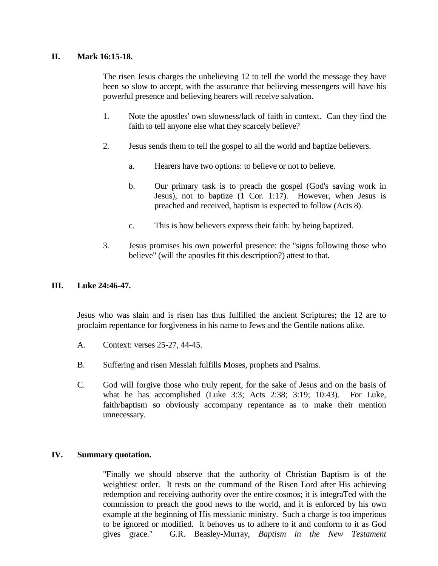# **II. Mark 16:15-18.**

The risen Jesus charges the unbelieving 12 to tell the world the message they have been so slow to accept, with the assurance that believing messengers will have his powerful presence and believing hearers will receive salvation.

- 1. Note the apostles' own slowness/lack of faith in context. Can they find the faith to tell anyone else what they scarcely believe?
- 2. Jesus sends them to tell the gospel to all the world and baptize believers.
	- a. Hearers have two options: to believe or not to believe.
	- b. Our primary task is to preach the gospel (God's saving work in Jesus), not to baptize (1 Cor. 1:17). However, when Jesus is preached and received, baptism is expected to follow (Acts 8).
	- c. This is how believers express their faith: by being baptized.
- 3. Jesus promises his own powerful presence: the "signs following those who believe" (will the apostles fit this description?) attest to that.

## **III. Luke 24:46-47.**

Jesus who was slain and is risen has thus fulfilled the ancient Scriptures; the 12 are to proclaim repentance for forgiveness in his name to Jews and the Gentile nations alike.

- A. Context: verses 25-27, 44-45.
- B. Suffering and risen Messiah fulfills Moses, prophets and Psalms.
- C. God will forgive those who truly repent, for the sake of Jesus and on the basis of what he has accomplished (Luke 3:3; Acts 2:38; 3:19; 10:43). For Luke, faith/baptism so obviously accompany repentance as to make their mention unnecessary.

## **IV. Summary quotation.**

"Finally we should observe that the authority of Christian Baptism is of the weightiest order. It rests on the command of the Risen Lord after His achieving redemption and receiving authority over the entire cosmos; it is integraTed with the commission to preach the good news to the world, and it is enforced by his own example at the beginning of His messianic ministry. Such a charge is too imperious to be ignored or modified. It behoves us to adhere to it and conform to it as God gives grace." G.R. Beasley-Murray, *Baptism in the New Testament*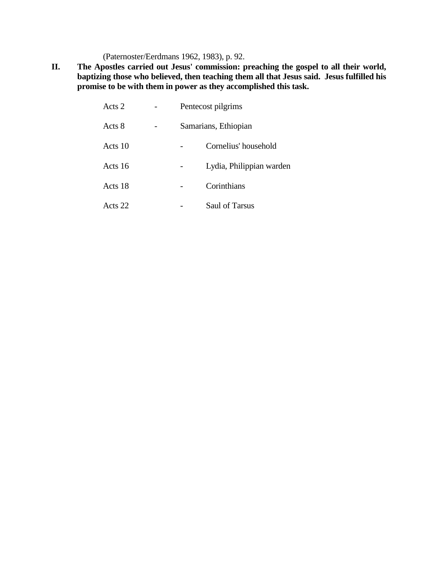(Paternoster/Eerdmans 1962, 1983), p. 92.

**II. The Apostles carried out Jesus' commission: preaching the gospel to all their world, baptizing those who believed, then teaching them all that Jesus said. Jesus fulfilled his promise to be with them in power as they accomplished this task.**

| Acts 2  | Pentecost pilgrims |                          |
|---------|--------------------|--------------------------|
| Acts 8  |                    | Samarians, Ethiopian     |
| Acts 10 |                    | Cornelius' household     |
| Acts 16 |                    | Lydia, Philippian warden |
| Acts 18 |                    | Corinthians              |
| Acts 22 |                    | <b>Saul of Tarsus</b>    |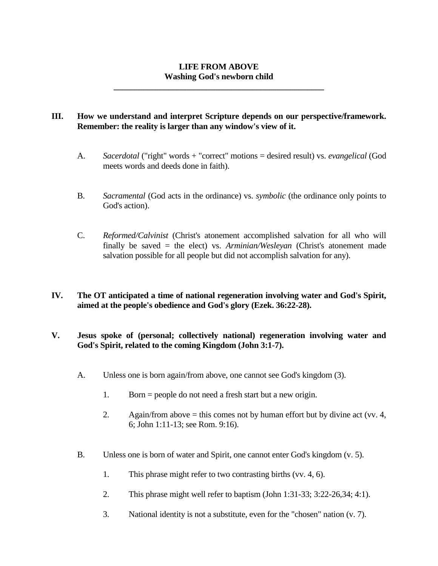# **LIFE FROM ABOVE Washing God's newborn child**

**\_\_\_\_\_\_\_\_\_\_\_\_\_\_\_\_\_\_\_\_\_\_\_\_\_\_\_\_\_\_\_\_\_\_\_\_\_\_\_\_\_\_\_\_\_\_\_\_\_\_**

# **III. How we understand and interpret Scripture depends on our perspective/framework. Remember: the reality is larger than any window's view of it.**

- A. *Sacerdotal* ("right" words + "correct" motions = desired result) vs. *evangelical* (God meets words and deeds done in faith).
- B. *Sacramental* (God acts in the ordinance) vs. *symbolic* (the ordinance only points to God's action).
- C. *Reformed/Calvinist* (Christ's atonement accomplished salvation for all who will finally be saved = the elect) vs. *Arminian/Wesleyan* (Christ's atonement made salvation possible for all people but did not accomplish salvation for any).
- **IV. The OT anticipated a time of national regeneration involving water and God's Spirit, aimed at the people's obedience and God's glory (Ezek. 36:22-28).**

## **V. Jesus spoke of (personal; collectively national) regeneration involving water and God's Spirit, related to the coming Kingdom (John 3:1-7).**

- A. Unless one is born again/from above, one cannot see God's kingdom (3).
	- 1. Born = people do not need a fresh start but a new origin.
	- 2. Again/from above  $=$  this comes not by human effort but by divine act (vv. 4, 6; John 1:11-13; see Rom. 9:16).
- B. Unless one is born of water and Spirit, one cannot enter God's kingdom (v. 5).
	- 1. This phrase might refer to two contrasting births (vv. 4, 6).
	- 2. This phrase might well refer to baptism (John 1:31-33; 3:22-26,34; 4:1).
	- 3. National identity is not a substitute, even for the "chosen" nation (v. 7).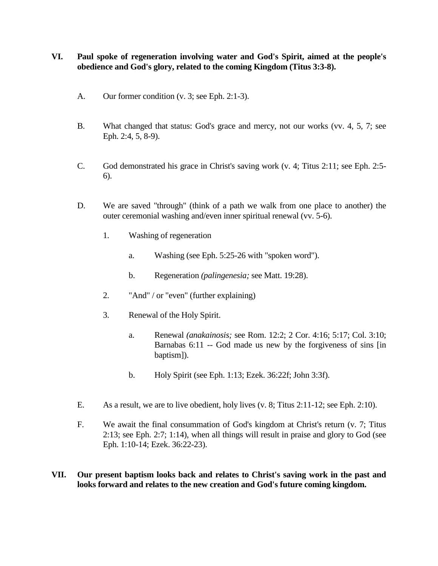# **VI. Paul spoke of regeneration involving water and God's Spirit, aimed at the people's obedience and God's glory, related to the coming Kingdom (Titus 3:3-8).**

- A. Our former condition (v. 3; see Eph. 2:1-3).
- B. What changed that status: God's grace and mercy, not our works (vv. 4, 5, 7; see Eph. 2:4, 5, 8-9).
- C. God demonstrated his grace in Christ's saving work (v. 4; Titus 2:11; see Eph. 2:5- 6).
- D. We are saved "through" (think of a path we walk from one place to another) the outer ceremonial washing and/even inner spiritual renewal (vv. 5-6).
	- 1. Washing of regeneration
		- a. Washing (see Eph. 5:25-26 with "spoken word").
		- b. Regeneration *(palingenesia;* see Matt. 19:28).
	- 2. "And" / or "even" (further explaining)
	- 3. Renewal of the Holy Spirit.
		- a. Renewal *(anakainosis;* see Rom. 12:2; 2 Cor. 4:16; 5:17; Col. 3:10; Barnabas 6:11 -- God made us new by the forgiveness of sins [in baptism]).
		- b. Holy Spirit (see Eph. 1:13; Ezek. 36:22f; John 3:3f).
- E. As a result, we are to live obedient, holy lives (v. 8; Titus 2:11-12; see Eph. 2:10).
- F. We await the final consummation of God's kingdom at Christ's return (v. 7; Titus 2:13; see Eph. 2:7; 1:14), when all things will result in praise and glory to God (see Eph. 1:10-14; Ezek. 36:22-23).
- **VII. Our present baptism looks back and relates to Christ's saving work in the past and looks forward and relates to the new creation and God's future coming kingdom.**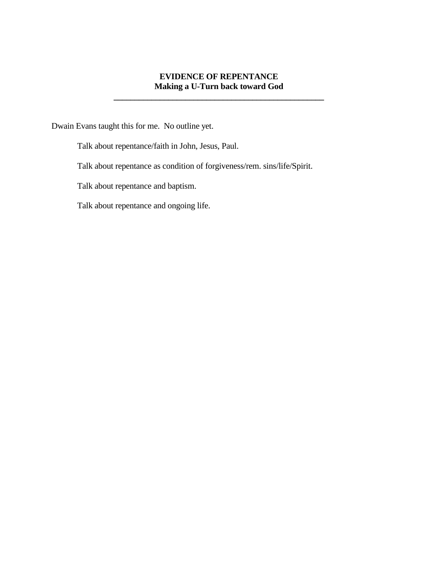# **EVIDENCE OF REPENTANCE Making a U-Turn back toward God**

**\_\_\_\_\_\_\_\_\_\_\_\_\_\_\_\_\_\_\_\_\_\_\_\_\_\_\_\_\_\_\_\_\_\_\_\_\_\_\_\_\_\_\_\_\_\_\_\_\_\_**

Dwain Evans taught this for me. No outline yet.

Talk about repentance/faith in John, Jesus, Paul.

Talk about repentance as condition of forgiveness/rem. sins/life/Spirit.

Talk about repentance and baptism.

Talk about repentance and ongoing life.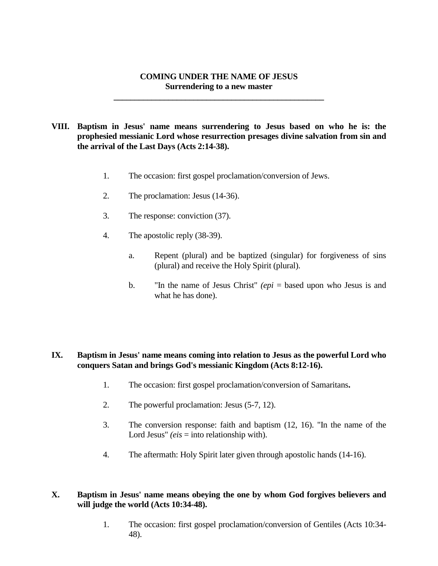## **COMING UNDER THE NAME OF JESUS Surrendering to a new master**

**\_\_\_\_\_\_\_\_\_\_\_\_\_\_\_\_\_\_\_\_\_\_\_\_\_\_\_\_\_\_\_\_\_\_\_\_\_\_\_\_\_\_\_\_\_\_\_\_\_\_**

**VIII. Baptism in Jesus' name means surrendering to Jesus based on who he is: the prophesied messianic Lord whose resurrection presages divine salvation from sin and the arrival of the Last Days (Acts 2:14-38).**

- 1. The occasion: first gospel proclamation/conversion of Jews.
- 2. The proclamation: Jesus (14-36).
- 3. The response: conviction (37).
- 4. The apostolic reply (38-39).
	- a. Repent (plural) and be baptized (singular) for forgiveness of sins (plural) and receive the Holy Spirit (plural).
	- b. "In the name of Jesus Christ" *(epi* = based upon who Jesus is and what he has done).

## **IX. Baptism in Jesus' name means coming into relation to Jesus as the powerful Lord who conquers Satan and brings God's messianic Kingdom (Acts 8:12-16).**

- 1. The occasion: first gospel proclamation/conversion of Samaritans**.**
- 2. The powerful proclamation: Jesus (5-7, 12).
- 3. The conversion response: faith and baptism (12, 16). "In the name of the Lord Jesus" *(eis = into relationship with)*.
- 4. The aftermath: Holy Spirit later given through apostolic hands (14-16).

# **X. Baptism in Jesus' name means obeying the one by whom God forgives believers and will judge the world (Acts 10:34-48).**

1. The occasion: first gospel proclamation/conversion of Gentiles (Acts 10:34- 48).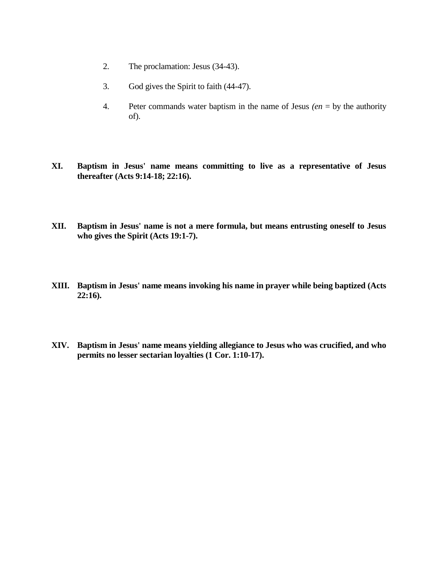- 2. The proclamation: Jesus (34-43).
- 3. God gives the Spirit to faith (44-47).
- 4. Peter commands water baptism in the name of Jesus *(en* = by the authority of).
- **XI. Baptism in Jesus' name means committing to live as a representative of Jesus thereafter (Acts 9:14-18; 22:16).**
- **XII. Baptism in Jesus' name is not a mere formula, but means entrusting oneself to Jesus who gives the Spirit (Acts 19:1-7).**
- **XIII. Baptism in Jesus' name means invoking his name in prayer while being baptized (Acts 22:16).**
- **XIV. Baptism in Jesus' name means yielding allegiance to Jesus who was crucified, and who permits no lesser sectarian loyalties (1 Cor. 1:10-17).**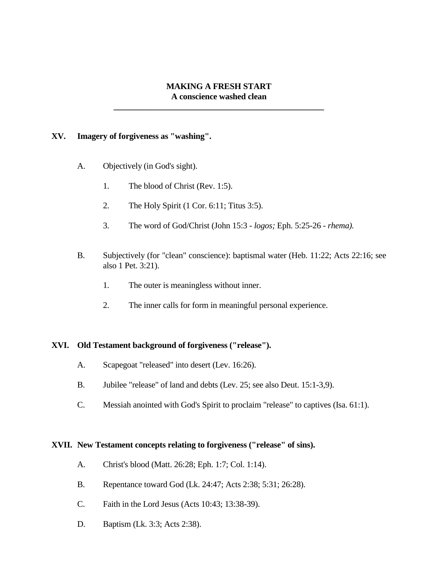## **MAKING A FRESH START A conscience washed clean**

**\_\_\_\_\_\_\_\_\_\_\_\_\_\_\_\_\_\_\_\_\_\_\_\_\_\_\_\_\_\_\_\_\_\_\_\_\_\_\_\_\_\_\_\_\_\_\_\_\_\_**

#### **XV. Imagery of forgiveness as "washing".**

- A. Objectively (in God's sight).
	- 1. The blood of Christ (Rev. 1:5).
	- 2. The Holy Spirit (1 Cor. 6:11; Titus 3:5).
	- 3. The word of God/Christ (John 15:3 *- logos;* Eph. 5:25-26 *- rhema).*
- B. Subjectively (for "clean" conscience): baptismal water (Heb. 11:22; Acts 22:16; see also 1 Pet. 3:21).
	- 1. The outer is meaningless without inner.
	- 2. The inner calls for form in meaningful personal experience.

#### **XVI. Old Testament background of forgiveness ("release").**

- A. Scapegoat "released" into desert (Lev. 16:26).
- B. Jubilee "release" of land and debts (Lev. 25; see also Deut. 15:1-3,9).
- C. Messiah anointed with God's Spirit to proclaim "release" to captives (Isa. 61:1).

## **XVII. New Testament concepts relating to forgiveness ("release" of sins).**

- A. Christ's blood (Matt. 26:28; Eph. 1:7; Col. 1:14).
- B. Repentance toward God (Lk. 24:47; Acts 2:38; 5:31; 26:28).
- C. Faith in the Lord Jesus (Acts 10:43; 13:38-39).
- D. Baptism (Lk. 3:3; Acts 2:38).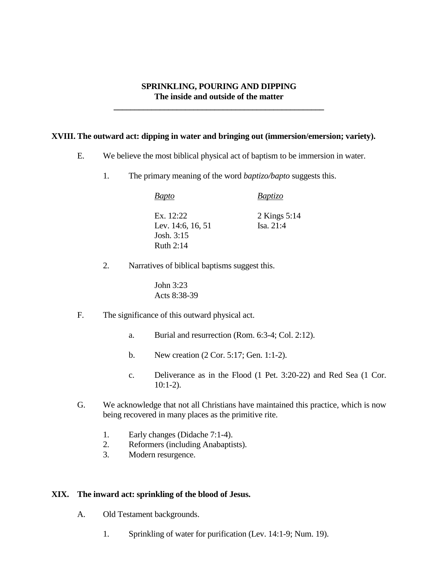## **SPRINKLING, POURING AND DIPPING The inside and outside of the matter**

**\_\_\_\_\_\_\_\_\_\_\_\_\_\_\_\_\_\_\_\_\_\_\_\_\_\_\_\_\_\_\_\_\_\_\_\_\_\_\_\_\_\_\_\_\_\_\_\_\_\_**

#### **XVIII. The outward act: dipping in water and bringing out (immersion/emersion; variety).**

- E. We believe the most biblical physical act of baptism to be immersion in water.
	- 1. The primary meaning of the word *baptizo/bapto* suggests this.

*Bapto Baptizo* Ex. 12:22 2 Kings 5:14 Lev. 14:6, 16, 51 Isa. 21:4 Josh. 3:15 Ruth  $2:14$ 

2. Narratives of biblical baptisms suggest this.

John 3:23 Acts 8:38-39

- F. The significance of this outward physical act.
	- a. Burial and resurrection (Rom. 6:3-4; Col. 2:12).
	- b. New creation (2 Cor. 5:17; Gen. 1:1-2).
	- c. Deliverance as in the Flood (1 Pet. 3:20-22) and Red Sea (1 Cor. 10:1-2).
- G. We acknowledge that not all Christians have maintained this practice, which is now being recovered in many places as the primitive rite.
	- 1. Early changes (Didache 7:1-4).
	- 2. Reformers (including Anabaptists).
	- 3. Modern resurgence.

#### **XIX. The inward act: sprinkling of the blood of Jesus.**

- A. Old Testament backgrounds.
	- 1. Sprinkling of water for purification (Lev. 14:1-9; Num. 19).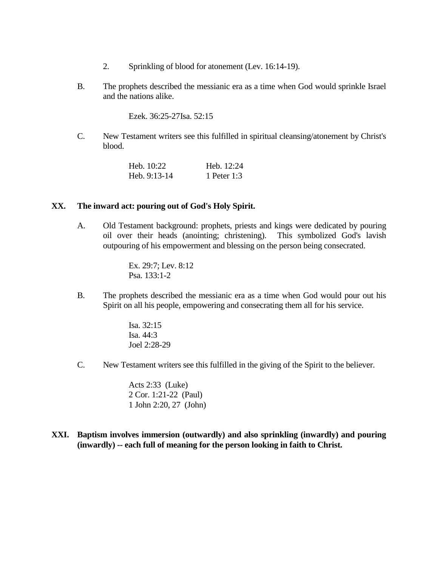- 2. Sprinkling of blood for atonement (Lev. 16:14-19).
- B. The prophets described the messianic era as a time when God would sprinkle Israel and the nations alike.

Ezek. 36:25-27Isa. 52:15

C. New Testament writers see this fulfilled in spiritual cleansing/atonement by Christ's blood.

| Heb. $10:22$ | Heb. $12:24$ |
|--------------|--------------|
| Heb. 9:13-14 | 1 Peter 1:3  |

#### **XX. The inward act: pouring out of God's Holy Spirit.**

A. Old Testament background: prophets, priests and kings were dedicated by pouring oil over their heads (anointing; christening). This symbolized God's lavish outpouring of his empowerment and blessing on the person being consecrated.

> Ex. 29:7; Lev. 8:12 Psa. 133:1-2

- B. The prophets described the messianic era as a time when God would pour out his Spirit on all his people, empowering and consecrating them all for his service.
	- Isa. 32:15 Isa. 44:3 Joel 2:28-29
- C. New Testament writers see this fulfilled in the giving of the Spirit to the believer.

Acts 2:33 (Luke) 2 Cor. 1:21-22 (Paul) 1 John 2:20, 27 (John)

**XXI. Baptism involves immersion (outwardly) and also sprinkling (inwardly) and pouring (inwardly) -- each full of meaning for the person looking in faith to Christ.**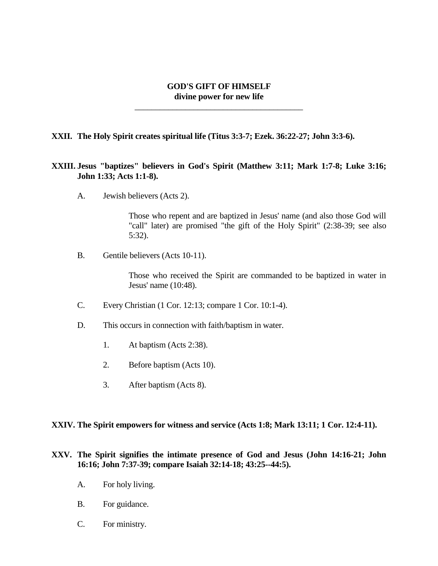## **GOD'S GIFT OF HIMSELF divine power for new life**

\_\_\_\_\_\_\_\_\_\_\_\_\_\_\_\_\_\_\_\_\_\_\_\_\_\_\_\_\_\_\_\_\_\_\_\_\_\_\_\_

#### **XXII. The Holy Spirit creates spiritual life (Titus 3:3-7; Ezek. 36:22-27; John 3:3-6).**

## **XXIII. Jesus "baptizes" believers in God's Spirit (Matthew 3:11; Mark 1:7-8; Luke 3:16; John 1:33; Acts 1:1-8).**

A. Jewish believers (Acts 2).

Those who repent and are baptized in Jesus' name (and also those God will "call" later) are promised "the gift of the Holy Spirit" (2:38-39; see also 5:32).

B. Gentile believers (Acts 10-11).

Those who received the Spirit are commanded to be baptized in water in Jesus' name (10:48).

- C. Every Christian (1 Cor. 12:13; compare 1 Cor. 10:1-4).
- D. This occurs in connection with faith/baptism in water.
	- 1. At baptism (Acts 2:38).
	- 2. Before baptism (Acts 10).
	- 3. After baptism (Acts 8).

#### **XXIV. The Spirit empowers for witness and service (Acts 1:8; Mark 13:11; 1 Cor. 12:4-11).**

## **XXV. The Spirit signifies the intimate presence of God and Jesus (John 14:16-21; John 16:16; John 7:37-39; compare Isaiah 32:14-18; 43:25--44:5).**

- A. For holy living.
- B. For guidance.
- C. For ministry.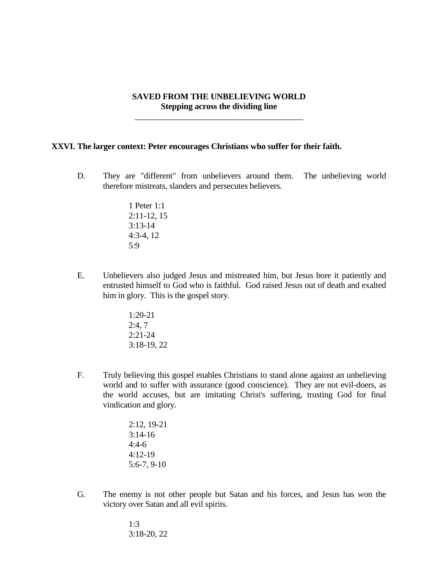## **SAVED FROM THE UNBELIEVING WORLD Stepping across the dividing line**

\_\_\_\_\_\_\_\_\_\_\_\_\_\_\_\_\_\_\_\_\_\_\_\_\_\_\_\_\_\_\_\_\_\_\_\_\_\_\_\_

#### **XXVI. The larger context: Peter encourages Christians who suffer for their faith.**

D. They are "different" from unbelievers around them. The unbelieving world therefore mistreats, slanders and persecutes believers.

> 1 Peter 1:1 2:11-12, 15 3:13-14 4:3-4, 12 5:9

- E. Unbelievers also judged Jesus and mistreated him, but Jesus bore it patiently and entrusted himself to God who is faithful. God raised Jesus out of death and exalted him in glory. This is the gospel story.
	- 1:20-21 2:4, 7 2:21-24 3:18-19, 22
- F. Truly believing this gospel enables Christians to stand alone against an unbelieving world and to suffer with assurance (good conscience). They are not evil-doers, as the world accuses, but are imitating Christ's suffering, trusting God for final vindication and glory.

2:12, 19-21 3:14-16 4:4-6 4:12-19 5:6-7, 9-10

G. The enemy is not other people but Satan and his forces, and Jesus has won the victory over Satan and all evil spirits.

> 1:3 3:18-20, 22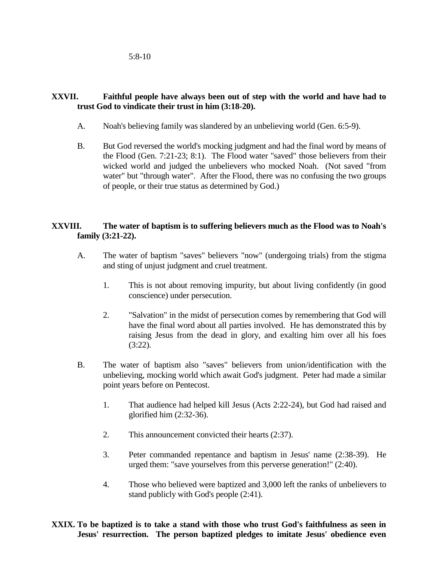5:8-10

# **XXVII. Faithful people have always been out of step with the world and have had to trust God to vindicate their trust in him (3:18-20).**

- A. Noah's believing family was slandered by an unbelieving world (Gen. 6:5-9).
- B. But God reversed the world's mocking judgment and had the final word by means of the Flood (Gen. 7:21-23; 8:1). The Flood water "saved" those believers from their wicked world and judged the unbelievers who mocked Noah. (Not saved "from water" but "through water". After the Flood, there was no confusing the two groups of people, or their true status as determined by God.)

# **XXVIII. The water of baptism is to suffering believers much as the Flood was to Noah's family (3:21-22).**

- A. The water of baptism "saves" believers "now" (undergoing trials) from the stigma and sting of unjust judgment and cruel treatment.
	- 1. This is not about removing impurity, but about living confidently (in good conscience) under persecution.
	- 2. "Salvation" in the midst of persecution comes by remembering that God will have the final word about all parties involved. He has demonstrated this by raising Jesus from the dead in glory, and exalting him over all his foes (3:22).
- B. The water of baptism also "saves" believers from union/identification with the unbelieving, mocking world which await God's judgment. Peter had made a similar point years before on Pentecost.
	- 1. That audience had helped kill Jesus (Acts 2:22-24), but God had raised and glorified him  $(2:32-36)$ .
	- 2. This announcement convicted their hearts (2:37).
	- 3. Peter commanded repentance and baptism in Jesus' name (2:38-39). He urged them: "save yourselves from this perverse generation!" (2:40).
	- 4. Those who believed were baptized and 3,000 left the ranks of unbelievers to stand publicly with God's people (2:41).

**XXIX. To be baptized is to take a stand with those who trust God's faithfulness as seen in Jesus' resurrection. The person baptized pledges to imitate Jesus' obedience even**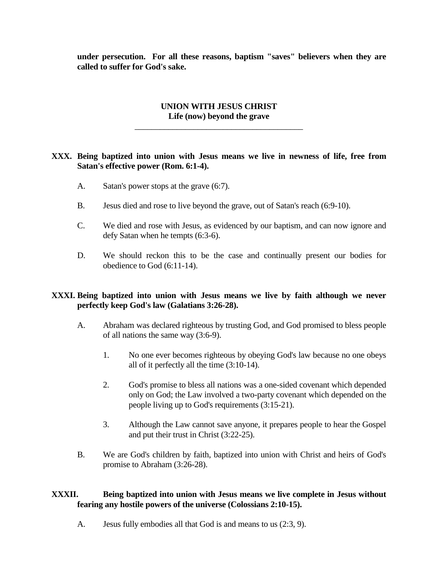**under persecution. For all these reasons, baptism "saves" believers when they are called to suffer for God's sake.**

# **UNION WITH JESUS CHRIST Life (now) beyond the grave**

\_\_\_\_\_\_\_\_\_\_\_\_\_\_\_\_\_\_\_\_\_\_\_\_\_\_\_\_\_\_\_\_\_\_\_\_\_\_\_\_

#### **XXX. Being baptized into union with Jesus means we live in newness of life, free from Satan's effective power (Rom. 6:1-4).**

- A. Satan's power stops at the grave (6:7).
- B. Jesus died and rose to live beyond the grave, out of Satan's reach (6:9-10).
- C. We died and rose with Jesus, as evidenced by our baptism, and can now ignore and defy Satan when he tempts (6:3-6).
- D. We should reckon this to be the case and continually present our bodies for obedience to God (6:11-14).

## **XXXI. Being baptized into union with Jesus means we live by faith although we never perfectly keep God's law (Galatians 3:26-28).**

- A. Abraham was declared righteous by trusting God, and God promised to bless people of all nations the same way (3:6-9).
	- 1. No one ever becomes righteous by obeying God's law because no one obeys all of it perfectly all the time (3:10-14).
	- 2. God's promise to bless all nations was a one-sided covenant which depended only on God; the Law involved a two-party covenant which depended on the people living up to God's requirements (3:15-21).
	- 3. Although the Law cannot save anyone, it prepares people to hear the Gospel and put their trust in Christ (3:22-25).
- B. We are God's children by faith, baptized into union with Christ and heirs of God's promise to Abraham (3:26-28).

## **XXXII. Being baptized into union with Jesus means we live complete in Jesus without fearing any hostile powers of the universe (Colossians 2:10-15).**

A. Jesus fully embodies all that God is and means to us (2:3, 9).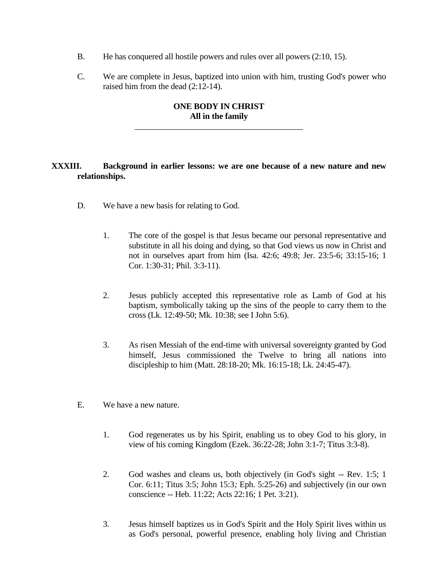- B. He has conquered all hostile powers and rules over all powers (2:10, 15).
- C. We are complete in Jesus, baptized into union with him, trusting God's power who raised him from the dead (2:12-14).

# **ONE BODY IN CHRIST All in the family**

\_\_\_\_\_\_\_\_\_\_\_\_\_\_\_\_\_\_\_\_\_\_\_\_\_\_\_\_\_\_\_\_\_\_\_\_\_\_\_\_

# **XXXIII. Background in earlier lessons: we are one because of a new nature and new relationships.**

- D. We have a new basis for relating to God.
	- 1. The core of the gospel is that Jesus became our personal representative and substitute in all his doing and dying, so that God views us now in Christ and not in ourselves apart from him (Isa. 42:6; 49:8; Jer. 23:5-6; 33:15-16; 1 Cor. 1:30-31; Phil. 3:3-11).
	- 2. Jesus publicly accepted this representative role as Lamb of God at his baptism, symbolically taking up the sins of the people to carry them to the cross (Lk. 12:49-50; Mk. 10:38; see I John 5:6).
	- 3. As risen Messiah of the end-time with universal sovereignty granted by God himself, Jesus commissioned the Twelve to bring all nations into discipleship to him (Matt. 28:18-20; Mk. 16:15-18; Lk. 24:45-47).
- E. We have a new nature.
	- 1. God regenerates us by his Spirit, enabling us to obey God to his glory, in view of his coming Kingdom (Ezek. 36:22-28; John 3:1-7; Titus 3:3-8).
	- 2. God washes and cleans us, both objectively (in God's sight -- Rev. 1:5; 1 Cor. 6:11; Titus 3:5; John 15:3*;* Eph. 5:25-26) and subjectively (in our own conscience -- Heb. 11:22; Acts 22:16; 1 Pet. 3:21).
	- 3. Jesus himself baptizes us in God's Spirit and the Holy Spirit lives within us as God's personal, powerful presence, enabling holy living and Christian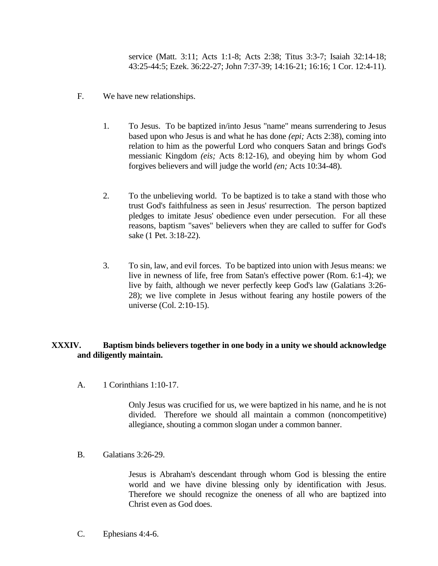service (Matt. 3:11; Acts 1:1-8; Acts 2:38; Titus 3:3-7; Isaiah 32:14-18; 43:25-44:5; Ezek. 36:22-27; John 7:37-39; 14:16-21; 16:16; 1 Cor. 12:4-11).

- F. We have new relationships.
	- 1. To Jesus. To be baptized in/into Jesus "name" means surrendering to Jesus based upon who Jesus is and what he has done *(epi;* Acts 2:38), coming into relation to him as the powerful Lord who conquers Satan and brings God's messianic Kingdom *(eis;* Acts 8:12-16), and obeying him by whom God forgives believers and will judge the world *(en;* Acts 10:34-48).
	- 2. To the unbelieving world. To be baptized is to take a stand with those who trust God's faithfulness as seen in Jesus' resurrection. The person baptized pledges to imitate Jesus' obedience even under persecution. For all these reasons, baptism "saves" believers when they are called to suffer for God's sake (1 Pet. 3:18-22).
	- 3. To sin, law, and evil forces. To be baptized into union with Jesus means: we live in newness of life, free from Satan's effective power (Rom. 6:1-4); we live by faith, although we never perfectly keep God's law (Galatians 3:26- 28); we live complete in Jesus without fearing any hostile powers of the universe (Col. 2:10-15).

# **XXXIV. Baptism binds believers together in one body in a unity we should acknowledge and diligently maintain.**

A. 1 Corinthians 1:10-17.

Only Jesus was crucified for us, we were baptized in his name, and he is not divided. Therefore we should all maintain a common (noncompetitive) allegiance, shouting a common slogan under a common banner.

B. Galatians 3:26-29.

Jesus is Abraham's descendant through whom God is blessing the entire world and we have divine blessing only by identification with Jesus. Therefore we should recognize the oneness of all who are baptized into Christ even as God does.

C. Ephesians 4:4-6.